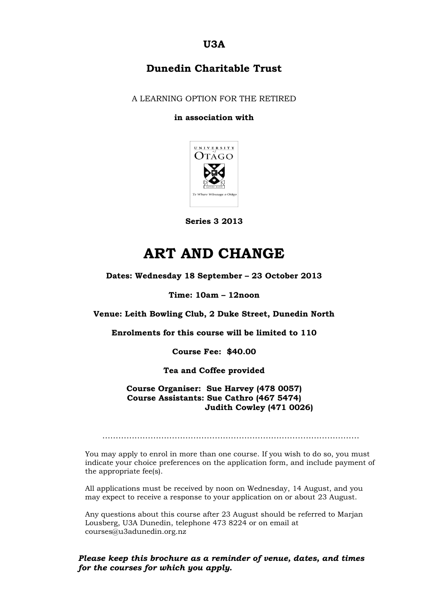**U3A**

## **Dunedin Charitable Trust**

A LEARNING OPTION FOR THE RETIRED

#### **in association with**



**Series 3 2013**

# **ART AND CHANGE**

**Dates: Wednesday 18 September – 23 October 2013**

#### **Time: 10am – 12noon**

**Venue: Leith Bowling Club, 2 Duke Street, Dunedin North**

**Enrolments for this course will be limited to 110**

**Course Fee: \$40.00**

**Tea and Coffee provided**

**Course Organiser: Sue Harvey (478 0057) Course Assistants: Sue Cathro (467 5474) Judith Cowley (471 0026)**

……………………………………………………………………………………

You may apply to enrol in more than one course. If you wish to do so, you must indicate your choice preferences on the application form, and include payment of the appropriate fee(s).

All applications must be received by noon on Wednesday, 14 August, and you may expect to receive a response to your application on or about 23 August.

Any questions about this course after 23 August should be referred to Marjan Lousberg, U3A Dunedin, telephone 473 8224 or on email at courses@u3adunedin.org.nz

*Please keep this brochure as a reminder of venue, dates, and times for the courses for which you apply.*